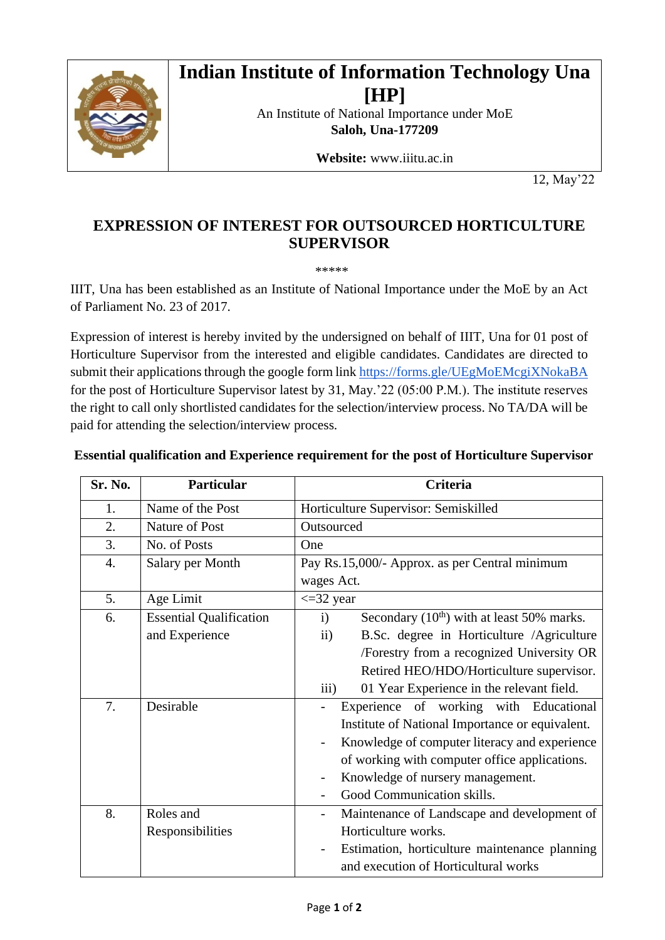

## **Indian Institute of Information Technology Una [HP]**

An Institute of National Importance under MoE **Saloh, Una-177209** 

**Website:** www.iiitu.ac.in

12, May'22

## **EXPRESSION OF INTEREST FOR OUTSOURCED HORTICULTURE SUPERVISOR**

\*\*\*\*\*

IIIT, Una has been established as an Institute of National Importance under the MoE by an Act of Parliament No. 23 of 2017.

Expression of interest is hereby invited by the undersigned on behalf of IIIT, Una for 01 post of Horticulture Supervisor from the interested and eligible candidates. Candidates are directed to submit their applications through the google form link <https://forms.gle/UEgMoEMcgiXNokaBA> for the post of Horticulture Supervisor latest by 31, May.'22 (05:00 P.M.). The institute reserves the right to call only shortlisted candidates for the selection/interview process. No TA/DA will be paid for attending the selection/interview process.

| Sr. No.          | Particular                     | Criteria                                                    |
|------------------|--------------------------------|-------------------------------------------------------------|
| 1.               | Name of the Post               | Horticulture Supervisor: Semiskilled                        |
| 2.               | Nature of Post                 | Outsourced                                                  |
| 3.               | No. of Posts                   | One                                                         |
| $\overline{4}$ . | Salary per Month               | Pay Rs.15,000/- Approx. as per Central minimum              |
|                  |                                | wages Act.                                                  |
| 5.               | Age Limit                      | $\epsilon$ =32 year                                         |
| 6.               | <b>Essential Qualification</b> | Secondary $(10th)$ with at least 50% marks.<br>$\mathbf{i}$ |
|                  | and Experience                 | B.Sc. degree in Horticulture /Agriculture<br>$\rm ii)$      |
|                  |                                | /Forestry from a recognized University OR                   |
|                  |                                | Retired HEO/HDO/Horticulture supervisor.                    |
|                  |                                | 01 Year Experience in the relevant field.<br>iii)           |
| 7.               | Desirable                      | Experience of working with Educational                      |
|                  |                                | Institute of National Importance or equivalent.             |
|                  |                                | Knowledge of computer literacy and experience               |
|                  |                                | of working with computer office applications.               |
|                  |                                | Knowledge of nursery management.                            |
|                  |                                | Good Communication skills.                                  |
| 8.               | Roles and                      | Maintenance of Landscape and development of                 |
|                  | Responsibilities               | Horticulture works.                                         |
|                  |                                | Estimation, horticulture maintenance planning               |
|                  |                                | and execution of Horticultural works                        |

## **Essential qualification and Experience requirement for the post of Horticulture Supervisor**